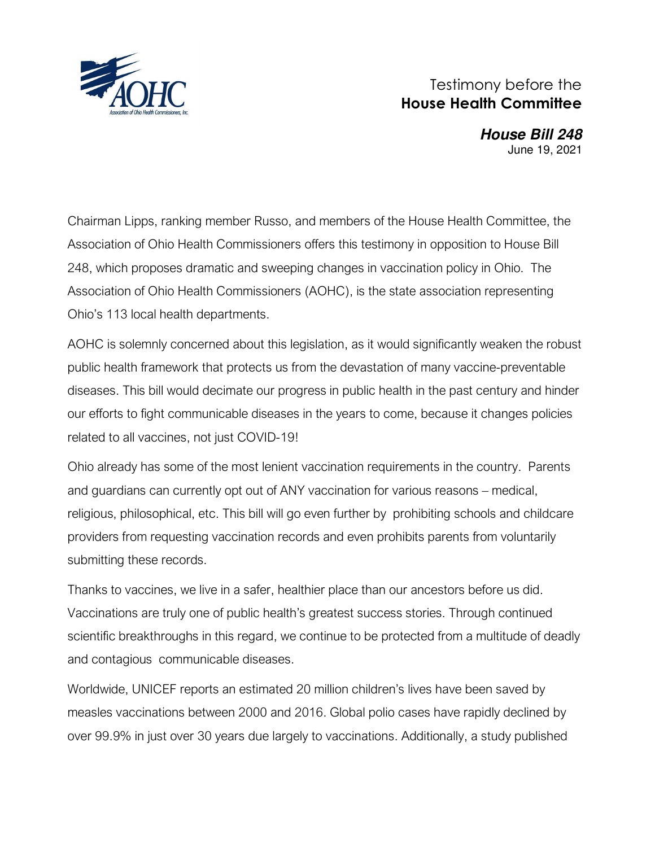

## Testimony before the **House Health Committee**

 **House Bill 248**  June 19, 2021

Chairman Lipps, ranking member Russo, and members of the House Health Committee, the Association of Ohio Health Commissioners offers this testimony in opposition to House Bill 248, which proposes dramatic and sweeping changes in vaccination policy in Ohio. The Association of Ohio Health Commissioners (AOHC), is the state association representing Ohio's 113 local health departments.

AOHC is solemnly concerned about this legislation, as it would significantly weaken the robust public health framework that protects us from the devastation of many vaccine-preventable diseases. This bill would decimate our progress in public health in the past century and hinder our efforts to fight communicable diseases in the years to come, because it changes policies related to all vaccines, not just COVID-19!

Ohio already has some of the most lenient vaccination requirements in the country. Parents and guardians can currently opt out of ANY vaccination for various reasons – medical, religious, philosophical, etc. This bill will go even further by prohibiting schools and childcare providers from requesting vaccination records and even prohibits parents from voluntarily submitting these records.

Thanks to vaccines, we live in a safer, healthier place than our ancestors before us did. Vaccinations are truly one of public health's greatest success stories. Through continued scientific breakthroughs in this regard, we continue to be protected from a multitude of deadly and contagious communicable diseases.

Worldwide, UNICEF reports an estimated 20 million children's lives have been saved by measles vaccinations between 2000 and 2016. Global polio cases have rapidly declined by over 99.9% in just over 30 years due largely to vaccinations. Additionally, a study published